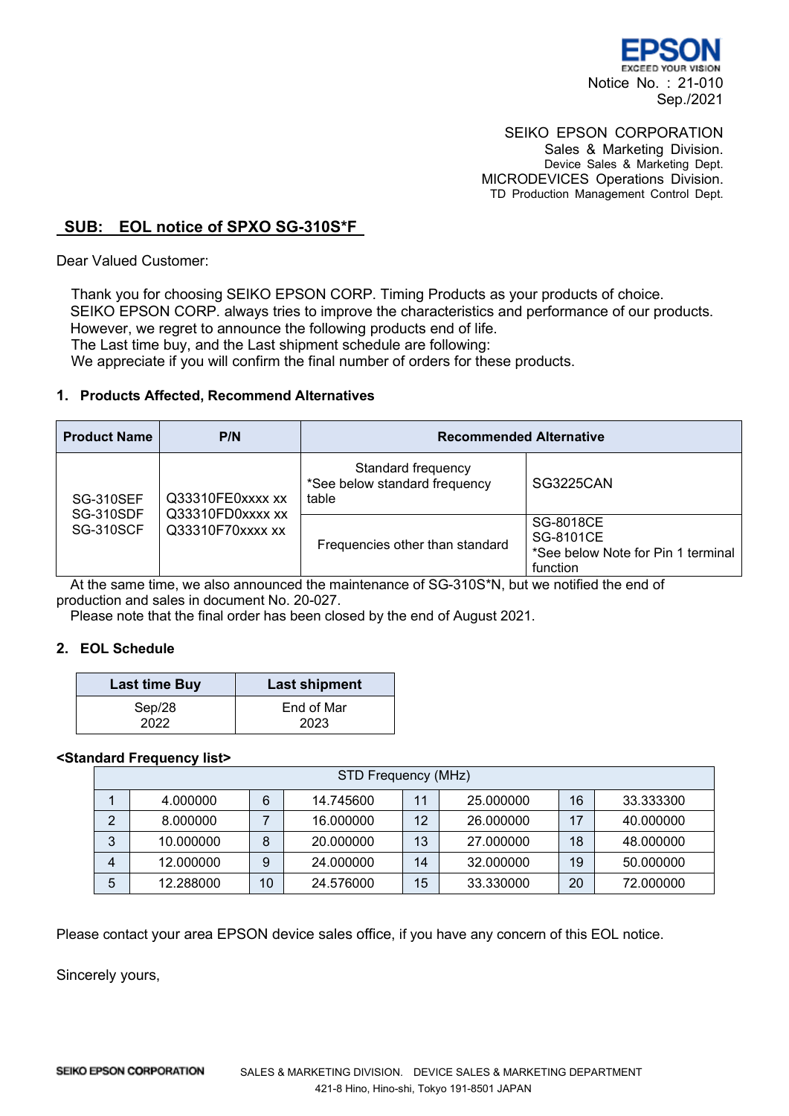

# SEIKO EPSON CORPORATION

Sales & Marketing Division. Device Sales & Marketing Dept. MICRODEVICES Operations Division. TD Production Management Control Dept.

## **SUB: EOL notice of SPXO SG-310S\*F**

Dear Valued Customer:

Thank you for choosing SEIKO EPSON CORP. Timing Products as your products of choice. SEIKO EPSON CORP. always tries to improve the characteristics and performance of our products. However, we regret to announce the following products end of life. The Last time buy, and the Last shipment schedule are following: We appreciate if you will confirm the final number of orders for these products.

### **1. Products Affected, Recommend Alternatives**

| <b>Product Name</b>                                      | P/N                                                      | <b>Recommended Alternative</b>                               |                                                                          |  |
|----------------------------------------------------------|----------------------------------------------------------|--------------------------------------------------------------|--------------------------------------------------------------------------|--|
| <b>SG-310SEF</b><br><b>SG-310SDF</b><br><b>SG-310SCF</b> | Q33310FE0xxxx xx<br>Q33310FD0xxxx xx<br>Q33310F70xxxx xx | Standard frequency<br>*See below standard frequency<br>table | <b>SG3225CAN</b>                                                         |  |
|                                                          |                                                          | Frequencies other than standard                              | SG-8018CE<br>SG-8101CE<br>*See below Note for Pin 1 terminal<br>function |  |

At the same time, we also announced the maintenance of SG-310S\*N, but we notified the end of production and sales in document No. 20-027.

Please note that the final order has been closed by the end of August 2021.

## **2. EOL Schedule**

| <b>Last time Buy</b> | <b>Last shipment</b> |
|----------------------|----------------------|
| Sep/28               | End of Mar           |
| 2022                 | 2023                 |

### **<Standard Frequency list>**

| STD Frequency (MHz) |           |    |           |    |           |    |           |
|---------------------|-----------|----|-----------|----|-----------|----|-----------|
|                     | 4.000000  | 6  | 14.745600 | 11 | 25.000000 | 16 | 33.333300 |
| 2                   | 8.000000  |    | 16.000000 | 12 | 26,000000 | 17 | 40.000000 |
| 3                   | 10.000000 | 8  | 20.000000 | 13 | 27,000000 | 18 | 48.000000 |
| 4                   | 12.000000 | 9  | 24.000000 | 14 | 32.000000 | 19 | 50.000000 |
| 5                   | 12.288000 | 10 | 24.576000 | 15 | 33.330000 | 20 | 72.000000 |

Please contact your area EPSON device sales office, if you have any concern of this EOL notice.

Sincerely yours,